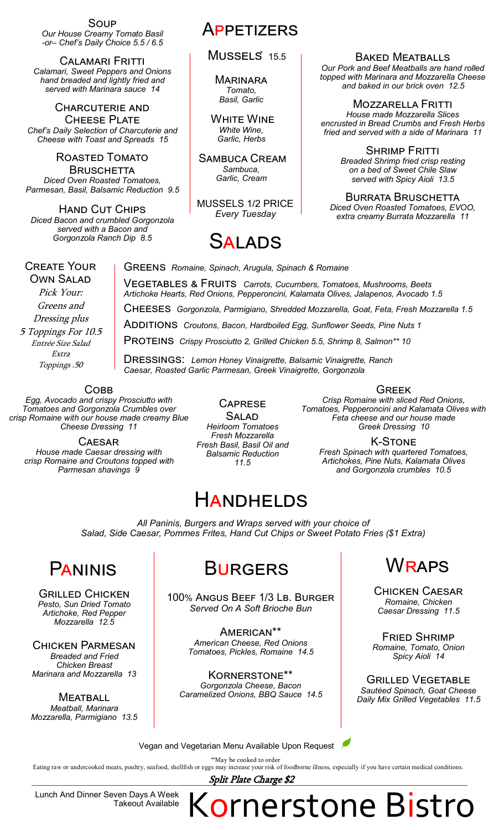Soup *Our House Creamy Tomato Basil -or– Chef's Daily Choice 5.5 / 6.5*

Calamari Fritti *Calamari, Sweet Peppers and Onions hand breaded and lightly fried and served with Marinara sauce 14*

Charcuterie and **CHEESE PLATE** *Chef's Daily Selection of Charcuterie and Cheese with Toast and Spreads 15*

ROASTED TOMATO **BRUSCHETTA** *Diced Oven Roasted Tomatoes, Parmesan, Basil, Balsamic Reduction 9.5*

Hand Cut Chips *Diced Bacon and crumbled Gorgonzola served with a Bacon and Gorgonzola Ranch Dip 8.5*

### **APPETIZERS**

MUSSELS<sup>\*</sup> 15.5

**MARINARA** *Tomato, Basil, Garlic*

WHITE WINE *White Wine, Garlic, Herbs*

Sambuca Cream *Sambuca, Garlic, Cream*

MUSSELS 1/2 PRICE *Every Tuesday*

# Salads

Vegetables & Fruits *Carrots, Cucumbers, Tomatoes, Mushrooms, Beets Artichoke Hearts, Red Onions, Pepperoncini, Kalamata Olives, Jalapenos, Avocado 1.5*

Additions*Croutons, Bacon, Hardboiled Egg, Sunflower Seeds, Pine Nuts 1*

PROTEINS *Crispy Prosciutto 2, Grilled Chicken 5.5, Shrimp 8, Salmon\*\* 10* 

Dressings: *Lemon Honey Vinaigrette, Balsamic Vinaigrette, Ranch*

Cheeses*Gorgonzola, Parmigiano, Shredded Mozzarella, Goat, Feta, Fresh Mozzarella 1.5*

Greens *Romaine, Spinach, Arugula, Spinach & Romaine*

Baked Meatballs *Our Pork and Beef Meatballs are hand rolled topped with Marinara and Mozzarella Cheese and baked in our brick oven 12.5*

Mozzarella Fritti *House made Mozzarella Slices encrusted in Bread Crumbs and Fresh Herbs fried and served with a side of Marinara 11*

> **SHRIMP FRITTI** *Breaded Shrimp fried crisp resting on a bed of Sweet Chile Slaw served with Spicy Aioli 13.5*

Burrata Bruschetta *Diced Oven Roasted Tomatoes, EVOO, extra creamy Burrata Mozzarella 11*

#### Create Your Own Salad

Pick Your: Greens and Dressing plus 5 Toppings For 10.5 Entrée Size Salad

Extra Toppings .50

**COBB** 

*Egg, Avocado and crispy Prosciutto with Tomatoes and Gorgonzola Crumbles over crisp Romaine with our house made creamy Blue Cheese Dressing 11*

**CAESAR** *House made Caesar dressing with crisp Romaine and Croutons topped with Parmesan shavings 9*

**CAPRESE** Salad *Heirloom Tomatoes Fresh Mozzarella Fresh Basil, Basil Oil and Balsamic Reduction 11.5*

*Caesar, Roasted Garlic Parmesan, Greek Vinaigrette, Gorgonzola*

**GREEK** 

*Crisp Romaine with sliced Red Onions, Tomatoes, Pepperoncini and Kalamata Olives with Feta cheese and our house made Greek Dressing 10* 

K-Stone *Fresh Spinach with quartered Tomatoes, Artichokes, Pine Nuts, Kalamata Olives and Gorgonzola crumbles 10.5*

## **HANDHELDS**

*All Paninis, Burgers and Wraps served with your choice of Salad, Side Caesar, Pommes Frites, Hand Cut Chips or Sweet Potato Fries (\$1 Extra)*

Grilled Chicken *Pesto, Sun Dried Tomato Artichoke, Red Pepper Mozzarella 12.5*

Chicken Parmesan *Breaded and Fried Chicken Breast Marinara and Mozzarella 13*

**MEATBALL** *Meatball, Marinara Mozzarella, Parmigiano 13.5*

#### PANINIS BURGERS WRAPS **BURGERS**

100% Angus Beef 1/3 Lb. Burger *Served On A Soft Brioche Bun*

> American\*\* *American Cheese, Red Onions Tomatoes, Pickles, Romaine 14.5*

Kornerstone\*\* *Gorgonzola Cheese, Bacon Caramelized Onions, BBQ Sauce 14.5*

Chicken Caesar *Romaine, Chicken Caesar Dressing 11.5*

Fried Shrimp *Romaine, Tomato, Onion Spicy Aioli 14*

Grilled Vegetable *Sautéed Spinach, Goat Cheese Daily Mix Grilled Vegetables 11.5*

Vegan and Vegetarian Menu Available Upon Request

\*\*May be cooked to order<br>Eating raw or undercooked meats, poultry, seafood, shellfish or eggs may increase your risk of foodborne illness, especially if you have certain medical conditions.

Split Plate Charge \$2

Lunch And Dinner Seven Days A Week Takeout Available

Kornerstone Bistro